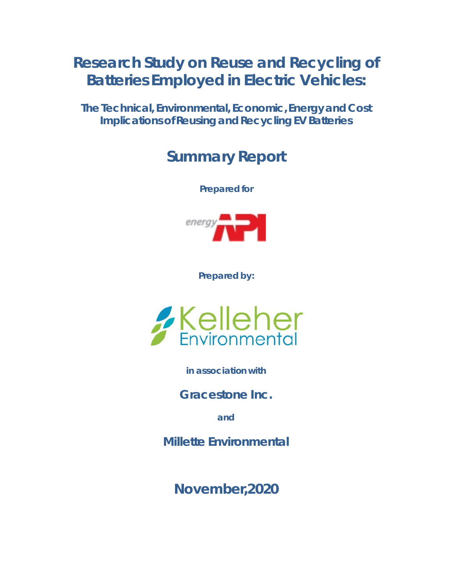# **Research Study on Reuse and Recycling of Batteries Employed in Electric Vehicles:**

**The Technical, Environmental, Economic, Energy and Cost Implications of Reusing and Recycling EV Batteries**

## **Summary Report**

**Prepared for**



**Prepared by:**



**in association with**

**Gracestone Inc.**

**and**

**Millette Environmental**

**November,2020**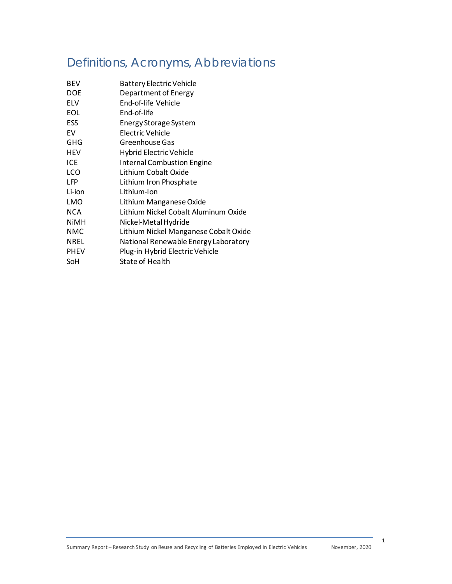## Definitions, Acronyms, Abbreviations

| <b>BEV</b>  | <b>Battery Electric Vehicle</b>       |
|-------------|---------------------------------------|
| <b>DOE</b>  | Department of Energy                  |
| <b>ELV</b>  | End-of-life Vehicle                   |
| <b>EOL</b>  | End-of-life                           |
| ESS         | Energy Storage System                 |
| FV          | Electric Vehicle                      |
| GHG         | Greenhouse Gas                        |
| HEV         | <b>Hybrid Electric Vehicle</b>        |
| ICE         | <b>Internal Combustion Engine</b>     |
| LCO         | Lithium Cobalt Oxide                  |
| <b>LFP</b>  | Lithium Iron Phosphate                |
| Li-ion      | Lithium-Ion                           |
| LMO         | Lithium Manganese Oxide               |
| NCA         | Lithium Nickel Cobalt Aluminum Oxide  |
| <b>NiMH</b> | Nickel-Metal Hydride                  |
| <b>NMC</b>  | Lithium Nickel Manganese Cobalt Oxide |
| <b>NREL</b> | National Renewable Energy Laboratory  |
| <b>PHEV</b> | Plug-in Hybrid Electric Vehicle       |
| SoH         | State of Health                       |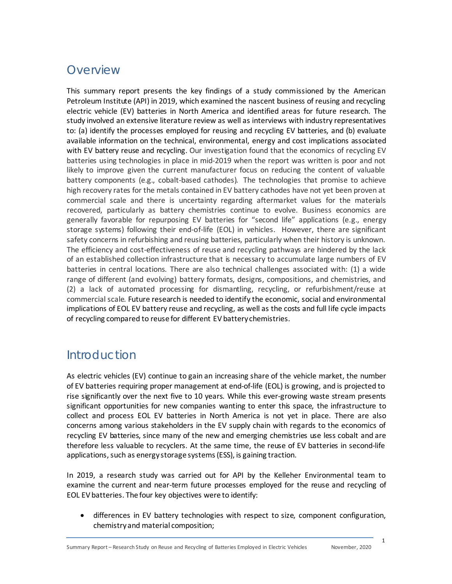### **Overview**

This summary report presents the key findings of a study commissioned by the American Petroleum Institute (API) in 2019, which examined the nascent business of reusing and recycling electric vehicle (EV) batteries in North America and identified areas for future research. The study involved an extensive literature review as well as interviews with industry representatives to: (a) identify the processes employed for reusing and recycling EV batteries, and (b) evaluate available information on the technical, environmental, energy and cost implications associated with EV battery reuse and recycling. Our investigation found that the economics of recycling EV batteries using technologies in place in mid-2019 when the report was written is poor and not likely to improve given the current manufacturer focus on reducing the content of valuable battery components (e.g., cobalt-based cathodes). The technologies that promise to achieve high recovery rates for the metals contained in EV battery cathodes have not yet been proven at commercial scale and there is uncertainty regarding aftermarket values for the materials recovered, particularly as battery chemistries continue to evolve. Business economics are generally favorable for repurposing EV batteries for "second life" applications (e.g., energy storage systems) following their end-of-life (EOL) in vehicles. However, there are significant safety concerns in refurbishing and reusing batteries, particularly when their history is unknown. The efficiency and cost-effectiveness of reuse and recycling pathways are hindered by the lack of an established collection infrastructure that is necessary to accumulate large numbers of EV batteries in central locations. There are also technical challenges associated with: (1) a wide range of different (and evolving) battery formats, designs, compositions, and chemistries, and (2) a lack of automated processing for dismantling, recycling, or refurbishment/reuse at commercial scale. Future research is needed to identify the economic, social and environmental implications of EOL EV battery reuse and recycling, as well as the costs and full life cycle impacts of recycling compared to reuse for different EV battery chemistries.

### Introduction

As electric vehicles (EV) continue to gain an increasing share of the vehicle market, the number of EV batteries requiring proper management at end-of-life (EOL) is growing, and is projected to rise significantly over the next five to 10 years. While this ever-growing waste stream presents significant opportunities for new companies wanting to enter this space, the infrastructure to collect and process EOL EV batteries in North America is not yet in place. There are also concerns among various stakeholders in the EV supply chain with regards to the economics of recycling EV batteries, since many of the new and emerging chemistries use less cobalt and are therefore less valuable to recyclers. At the same time, the reuse of EV batteries in second-life applications, such as energy storage systems (ESS), is gaining traction.

In 2019, a research study was carried out for API by the Kelleher Environmental team to examine the current and near-term future processes employed for the reuse and recycling of EOL EV batteries. The four key objectives were to identify:

• differences in EV battery technologies with respect to size, component configuration, chemistryand material composition;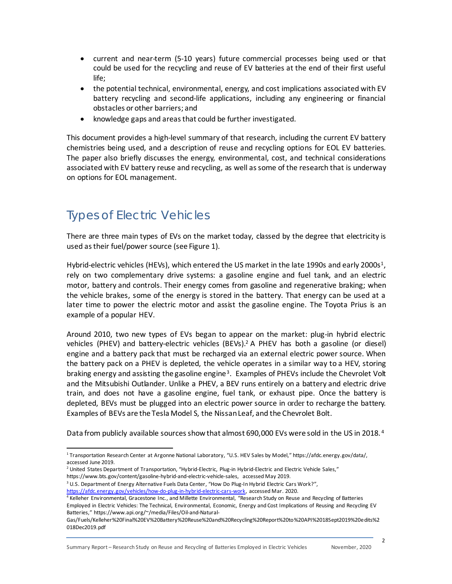- current and near-term (5-10 years) future commercial processes being used or that could be used for the recycling and reuse of EV batteries at the end of their first useful life;
- the potential technical, environmental, energy, and cost implications associated with EV battery recycling and second-life applications, including any engineering or financial obstacles or other barriers; and
- knowledge gaps and areas that could be further investigated.

This document provides a high-level summary of that research, including the current EV battery chemistries being used, and a description of reuse and recycling options for EOL EV batteries. The paper also briefly discusses the energy, environmental, cost, and technical considerations associated with EV battery reuse and recycling, as well as some of the research that is underway on options for EOL management.

### Types of Electric Vehicles

There are three main types of EVs on the market today, classed by the degree that electricity is used as their fuel/power source (see Figure 1).

Hybrid-electric vehicles (HEVs), which entered the US market in the late [1](#page-3-0)990s and early 2000s<sup>1</sup>, rely on two complementary drive systems: a gasoline engine and fuel tank, and an electric motor, battery and controls. Their energy comes from gasoline and regenerative braking; when the vehicle brakes, some of the energy is stored in the battery. That energy can be used at a later time to power the electric motor and assist the gasoline engine. The Toyota Prius is an example of a popular HEV.

Around 2010, two new types of EVs began to appear on the market: plug-in hybrid electric vehicles (PHEV) and battery-electric vehicles (BEVs). [2](#page-3-1) A PHEV has both a gasoline (or diesel) engine and a battery pack that must be recharged via an external electric power source. When the battery pack on a PHEV is depleted, the vehicle operates in a similar way to a HEV, storing braking energy and assisting the gasoline engine[3](#page-3-2). Examples of PHEVs include the Chevrolet Volt and the Mitsubishi Outlander. Unlike a PHEV, a BEV runs entirely on a battery and electric drive train, and does not have a gasoline engine, fuel tank, or exhaust pipe. Once the battery is depleted, BEVs must be plugged into an electric power source in order to recharge the battery. Examples of BEVs are the Tesla Model S, the Nissan Leaf, and the Chevrolet Bolt.

Data from publicly available sources show that almost 690,000 EVs were sold in the US in 2018.<sup>[4](#page-3-3)</sup>

<span id="page-3-0"></span><sup>1</sup> Transportation Research Center at Argonne National Laboratory, "U.S. HEV Sales by Model,[" https://afdc.energy.gov/data/](https://afdc.energy.gov/data/), accessed June 2019.

 $<sup>2</sup>$  United States Department of Transportation, "Hybrid-Electric, Plug-in Hybrid-Electric and Electric Vehicle Sales,"</sup>

<span id="page-3-2"></span><span id="page-3-1"></span>[https://www.bts.gov/content/gasoline-hybrid-and-electric-vehicle-sales,](https://www.bts.gov/content/gasoline-hybrid-and-electric-vehicle-sales) accessed May 2019.<br><sup>3</sup> U.S. Department of Energy Alternative Fuels Data Center, "How Do Plug-In Hybrid Electric Cars Work?", [https://afdc.energy.gov/vehicles/how-do-plug-in-hybrid-electric-cars-work,](https://afdc.energy.gov/vehicles/how-do-plug-in-hybrid-electric-cars-work) accessed Mar. 2020.

<span id="page-3-3"></span><sup>4</sup> Kelleher Environmental, Gracestone Inc., and Millette Environmental, "Research Study on Reuse and Recycling of Batteries Employed in Electric Vehicles: The Technical, Environmental, Economic, Energy and Cost Implications of Reusing and Recycling EV Batteries,[" https://www.api.org/~/media/Files/Oil-and-Natural-](https://www.api.org/%7E/media/Files/Oil-and-Natural-Gas/Fuels/Kelleher%20Final%20EV%20Battery%20Reuse%20and%20Recycling%20Report%20to%20API%2018Sept2019%20edits%2018Dec2019.pdf)

[Gas/Fuels/Kelleher%20Final%20EV%20Battery%20Reuse%20and%20Recycling%20Report%20to%20API%2018Sept2019%20edits%2](https://www.api.org/%7E/media/Files/Oil-and-Natural-Gas/Fuels/Kelleher%20Final%20EV%20Battery%20Reuse%20and%20Recycling%20Report%20to%20API%2018Sept2019%20edits%2018Dec2019.pdf) [018Dec2019.pdf](https://www.api.org/%7E/media/Files/Oil-and-Natural-Gas/Fuels/Kelleher%20Final%20EV%20Battery%20Reuse%20and%20Recycling%20Report%20to%20API%2018Sept2019%20edits%2018Dec2019.pdf)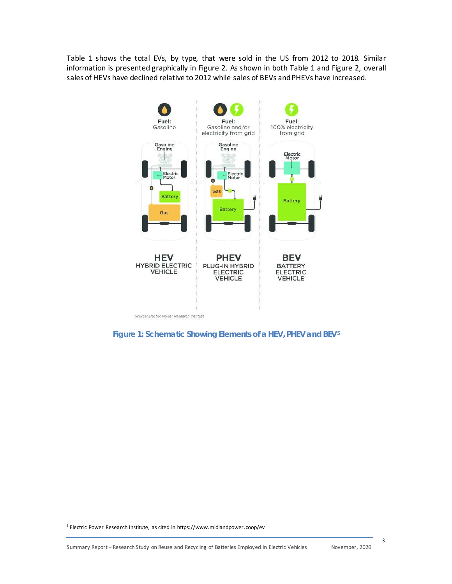Table 1 shows the total EVs, by type, that were sold in the US from 2012 to 2018. Similar information is presented graphically in Figure 2. As shown in both Table 1 and Figure 2, overall sales of HEVs have declined relative to 2012 while sales of BEVs and PHEVs have increased.



**Figure 1: Schematic Showing Elements of a HEV, PHEV and BEV[5](#page-4-0)**

<span id="page-4-0"></span><sup>&</sup>lt;sup>5</sup> Electric Power Research Institute, as cited in https://www.midlandpower.coop/ev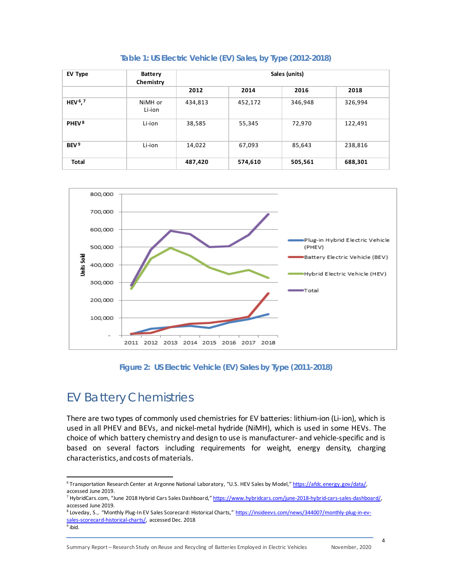| EV Type                         | <b>Battery</b><br>Chemistry | Sales (units) |         |         |         |
|---------------------------------|-----------------------------|---------------|---------|---------|---------|
|                                 |                             | 2012          | 2014    | 2016    | 2018    |
| HEV <sup>6</sup> , <sup>7</sup> | NiMH or<br>Li-ion           | 434,813       | 452,172 | 346,948 | 326,994 |
| PHEV <sup>8</sup>               | Li-ion                      | 38,585        | 55,345  | 72,970  | 122,491 |
| BEV <sup>9</sup>                | Li-ion                      | 14,022        | 67,093  | 85,643  | 238,816 |
| <b>Total</b>                    |                             | 487,420       | 574,610 | 505,561 | 688,301 |





**Figure 2: US Electric Vehicle (EV) Sales by Type (2011-2018)**

## EV Battery Chemistries

There are two types of commonly used chemistries for EV batteries: lithium-ion (Li-ion), which is used in all PHEV and BEVs, and nickel-metal hydride (NiMH), which is used in some HEVs. The choice of which battery chemistry and design to use is manufacturer- and vehicle-specific and is based on several factors including requirements for weight, energy density, charging characteristics,and costs of materials.

<span id="page-5-0"></span><sup>&</sup>lt;sup>6</sup> Transportation Research Center at Argonne National Laboratory, "U.S. HEV Sales by Model,[" https://afdc.energy.gov/data/](https://afdc.energy.gov/data/), accessed June 2019.

<span id="page-5-1"></span><sup>&</sup>lt;sup>7</sup> HybridCars.com, "June 2018 Hybrid Cars Sales Dashboard,[" https://www.hybridcars.com/june-2018-hybrid-cars-sales-dashboard/,](https://www.hybridcars.com/june-2018-hybrid-cars-sales-dashboard/) accessed June 2019.

<span id="page-5-3"></span><span id="page-5-2"></span><sup>&</sup>lt;sup>8</sup> Loveday, S., "Monthly Plug-In EV Sales Scorecard: Historical Charts,[" https://insideevs.com/news/344007/monthly-plug-in-ev](https://insideevs.com/news/344007/monthly-plug-in-ev-sales-scorecard-historical-charts/)[sales-scorecard-historical-charts/,](https://insideevs.com/news/344007/monthly-plug-in-ev-sales-scorecard-historical-charts/) accessed Dec. 2018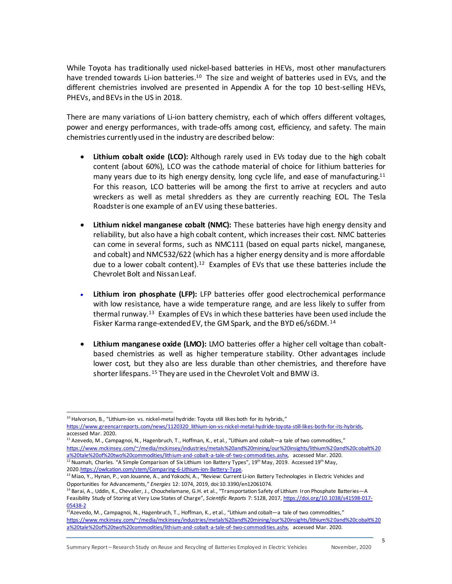While Toyota has traditionally used nickel-based batteries in HEVs, most other manufacturers have trended towards Li-ion batteries.<sup>10</sup> The size and weight of batteries used in EVs, and the different chemistries involved are presented in Appendix A for the top 10 best-selling HEVs, PHEVs, and BEVs in the US in 2018.

There are many variations of Li-ion battery chemistry, each of which offers different voltages, power and energy performances, with trade-offs among cost, efficiency, and safety. The main chemistries currently used in the industry are described below:

- **Lithium cobalt oxide (LCO):** Although rarely used in EVs today due to the high cobalt content (about 60%), LCO was the cathode material of choice for lithium batteries for many years due to its high energy density, long cycle life, and ease of manufacturing.<sup>[11](#page-6-1)</sup> For this reason, LCO batteries will be among the first to arrive at recyclers and auto wreckers as well as metal shredders as they are currently reaching EOL. The Tesla Roadsteris one example of an EV using these batteries.
- **Lithium nickel manganese cobalt (NMC):** These batteries have high energy density and reliability, but also have a high cobalt content, which increases their cost. NMC batteries can come in several forms, such as NMC111 (based on equal parts nickel, manganese, and cobalt) and NMC532/622 (which has a higher energy density and is more affordable due to a lower cobalt content).<sup>12</sup> Examples of EVs that use these batteries include the Chevrolet Bolt and Nissan Leaf.
- **Lithium iron phosphate (LFP):** LFP batteries offer good electrochemical performance with low resistance, have a wide temperature range, and are less likely to suffer from thermal runway.<sup>13</sup> Examples of EVs in which these batteries have been used include the Fisker Karma range-extended EV, the GM Spark, and the BYD e6/s6DM.<sup>[14](#page-6-4)</sup>
- **Lithium manganese oxide (LMO):** LMO batteries offer a higher cell voltage than cobaltbased chemistries as well as higher temperature stability. Other advantages include lower cost, but they also are less durable than other chemistries, and therefore have shorter lifespans. [15](#page-6-5) They are used in the Chevrolet Volt and BMW i3.

<span id="page-6-1"></span> $11$  Azevedo, M., Campagnoi, N., Hagenbruch, T., Hoffman, K., et al., "Lithium and cobalt—a tale of two commodities," [https://www.mckinsey.com/~/media/mckinsey/industries/metals%20and%20mining/our%20insights/lithium%20and%20cobalt%20](https://www.mckinsey.com/%7E/media/mckinsey/industries/metals%20and%20mining/our%20insights/lithium%20and%20cobalt%20a%20tale%20of%20two%20commodities/lithium-and-cobalt-a-tale-of-two-commodities.ashx)<br>a%20tale%20of%20two%20commodities/lithium-and-cobalt-a-tale-of-two-commodities.ashx, accessed Mar. 2020. <sup>12</sup> Nuamah, Charles. "A Simple Comparison of Six Lithium Ion Battery Types", 19<sup>th</sup> May, 2019. Accessed 19<sup>th</sup> May, 202[0.https://owlcation.com/stem/Comparing-6-Lithium-ion-Battery-Type.](https://owlcation.com/stem/Comparing-6-Lithium-ion-Battery-Type)

<span id="page-6-0"></span><sup>&</sup>lt;sup>10</sup> Halvorson, B., "Lithium-ion vs. nickel-metal hydride: Toyota still likes both for its hybrids," [https://www.greencarreports.com/news/1120320\\_lithium-ion-vs-nickel-metal-hydride-toyota-still-likes-both-for-its-hybrids,](https://www.greencarreports.com/news/1120320_lithium-ion-vs-nickel-metal-hydride-toyota-still-likes-both-for-its-hybrids)  accessed Mar. 2020.

<span id="page-6-3"></span><span id="page-6-2"></span><sup>&</sup>lt;sup>13</sup> Miao, Y., Hynan, P., von Jouanne, A., and Yokochi, A., "Review: Current Li-ion Battery Technologies in Electric Vehicles and Opportunities for Advancements," *Energies* 12: 1074, 2019, doi:10.3390/en12061074.

<span id="page-6-4"></span><sup>&</sup>lt;sup>14</sup> Barai, A., Uddin, K., Chevalier, J., Chouchelamane, G.H. et al., "Transportation Safety of Lithium Iron Phosphate Batteries—A Feasibility Study of Storing at Very Low States of Charge", *Scientific Reports* 7: 5128, 2017[, https://doi.org/10.1038/s41598-017-](https://doi.org/10.1038/s41598-017-05438-2) [05438-2](https://doi.org/10.1038/s41598-017-05438-2)

<span id="page-6-5"></span> $15A$ zevedo, M., Campagnoi, N., Hagenbruch, T., Hoffman, K., et al., "Lithium and cobalt—a tale of two commodities," [https://www.mckinsey.com/~/media/mckinsey/industries/metals%20and%20mining/our%20insights/lithium%20and%20cobalt%20](https://www.mckinsey.com/%7E/media/mckinsey/industries/metals%20and%20mining/our%20insights/lithium%20and%20cobalt%20a%20tale%20of%20two%20commodities/lithium-and-cobalt-a-tale-of-two-commodities.ashx) [a%20tale%20of%20two%20commodities/lithium-and-cobalt-a-tale-of-two-commodities.ashx,](https://www.mckinsey.com/%7E/media/mckinsey/industries/metals%20and%20mining/our%20insights/lithium%20and%20cobalt%20a%20tale%20of%20two%20commodities/lithium-and-cobalt-a-tale-of-two-commodities.ashx) accessed Mar. 2020.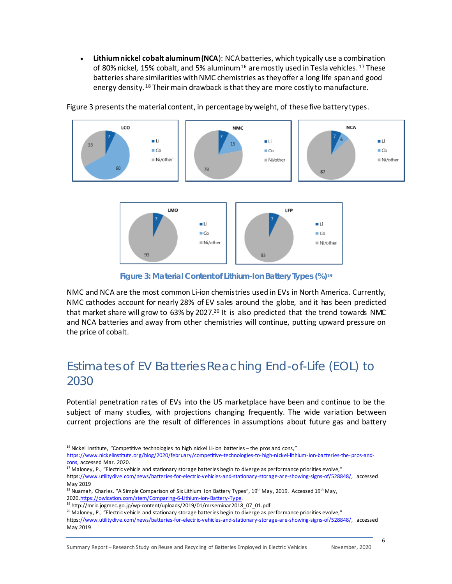• **Lithium nickel cobalt aluminum (NCA**): NCA batteries, which typically use a combination of 80% nickel, 15% cobalt, and 5% aluminum<sup>[16](#page-7-0)</sup> are mostly used in Tesla vehicles.<sup>[17](#page-7-1)</sup> These batteries share similarities with NMC chemistries as they offer a long life spanand good energy density. <sup>[18](#page-7-2)</sup> Their main drawback is that they are more costly to manufacture.



Figure 3 presents the material content, in percentage by weight, of these five battery types.



**Figure 3: Material Content of Lithium-Ion Battery Types (%[\)19](#page-7-3)**

NMC and NCA are the most common Li-ion chemistries used in EVs in North America. Currently, NMC cathodes account for nearly 28% of EV sales around the globe, and it has been predicted that market share will grow to 63% by [20](#page-7-4)27.<sup>20</sup> It is also predicted that the trend towards NMC and NCA batteries and away from other chemistries will continue, putting upward pressure on the price of cobalt.

### Estimates of EV Batteries Reaching End-of-Life (EOL) to 2030

Potential penetration rates of EVs into the US marketplace have been and continue to be the subject of many studies, with projections changing frequently. The wide variation between current projections are the result of differences in assumptions about future gas and battery

<span id="page-7-0"></span> $16$  Nickel Institute, "Competitive technologies to high nickel Li-ion batteries - the pros and cons," [https://www.nickelinstitute.org/blog/2020/february/competitive-technologies-to-high-nickel-lithium-ion-ba tteries-the-pros-and](https://www.nickelinstitute.org/blog/2020/february/competitive-technologies-to-high-nickel-lithium-ion-batteries-the-pros-and-cons)[cons,](https://www.nickelinstitute.org/blog/2020/february/competitive-technologies-to-high-nickel-lithium-ion-batteries-the-pros-and-cons) accessed Mar. 2020.

<span id="page-7-1"></span> $17$  Maloney, P., "Electric vehicle and stationary storage batteries begin to diverge as performance priorities evolve," http[s://www.utilitydive.com/news/batteries-for-electric-vehicles-and-stationary-storage-are-showing-signs-of/528848/,](http://www.utilitydive.com/news/batteries-for-electric-vehicles-and-stationary-storage-are-showing-signs-of/528848/) accessed May 2019

<span id="page-7-2"></span><sup>&</sup>lt;sup>18</sup> Nuamah, Charles. "A Simple Comparison of Six Lithium Ion Battery Types", 19<sup>th</sup> May, 2019. Accessed 19<sup>th</sup> May, 202[0.https://owlcation.com/stem/Comparing-6-Lithium-ion-Battery-Type.](https://owlcation.com/stem/Comparing-6-Lithium-ion-Battery-Type)

<span id="page-7-3"></span><sup>19</sup> http://mric.jogmec.go.jp/wp-content/uploads/2019/01/mrseminar2018\_07\_01.pdf

<span id="page-7-4"></span> $20$  Maloney, P., "Electric vehicle and stationary storage batteries begin to diverge as performance priorities evolve,"

http[s://www.utilitydive.com/news/batteries-for-electric-vehicles-and-stationary-storage-are-showing-signs-of/528848/,](http://www.utilitydive.com/news/batteries-for-electric-vehicles-and-stationary-storage-are-showing-signs-of/528848/) accessed May 2019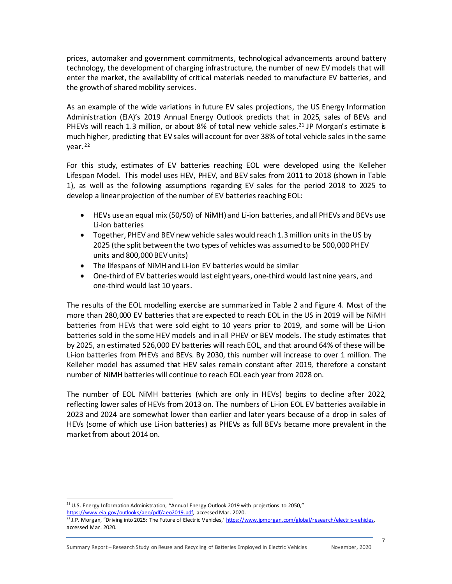prices, automaker and government commitments, technological advancements around battery technology, the development of charging infrastructure, the number of new EV models that will enter the market, the availability of critical materials needed to manufacture EV batteries, and the growth of shared mobility services.

As an example of the wide variations in future EV sales projections, the US Energy Information Administration (EIA)'s 2019 Annual Energy Outlook predicts that in 2025, sales of BEVs and PHEVs will reach 1.3 million, or about 8% of total new vehicle sales.<sup>[21](#page-8-0)</sup> JP Morgan's estimate is much higher, predicting that EV sales will account for over 38% of total vehicle sales in the same year. [22](#page-8-1)

For this study, estimates of EV batteries reaching EOL were developed using the Kelleher Lifespan Model. This model uses HEV, PHEV, and BEV sales from 2011 to 2018 (shown in Table 1), as well as the following assumptions regarding EV sales for the period 2018 to 2025 to develop a linear projection of the number of EV batteries reaching EOL:

- HEVs use an equal mix (50/50) of NiMH) and Li-ion batteries, and all PHEVs and BEVs use Li-ion batteries
- Together, PHEV and BEV new vehicle sales would reach 1.3 million units in the US by 2025 (the split between the two types of vehicles was assumed to be 500,000 PHEV units and 800,000 BEV units)
- The lifespans of NiMH and Li-ion EV batteries would be similar
- One-third of EV batteries would last eight years, one-third would last nine years, and one-third would last 10 years.

The results of the EOL modelling exercise are summarized in Table 2 and Figure 4. Most of the more than 280,000 EV batteries that are expected to reach EOL in the US in 2019 will be NiMH batteries from HEVs that were sold eight to 10 years prior to 2019, and some will be Li-ion batteries sold in the some HEV models and in all PHEV or BEV models. The study estimates that by 2025, an estimated 526,000 EV batteries will reach EOL, and that around 64% of these will be Li-ion batteries from PHEVs and BEVs. By 2030, this number will increase to over 1 million. The Kelleher model has assumed that HEV sales remain constant after 2019, therefore a constant number of NiMH batteries will continue to reach EOL each year from 2028 on.

The number of EOL NiMH batteries (which are only in HEVs) begins to decline after 2022, reflecting lower sales of HEVs from 2013 on. The numbers of Li-ion EOL EV batteries available in 2023 and 2024 are somewhat lower than earlier and later years because of a drop in sales of HEVs (some of which use Li-ion batteries) as PHEVs as full BEVs became more prevalent in the market from about 2014 on.

<span id="page-8-0"></span><sup>&</sup>lt;sup>21</sup> U.S. Energy Information Administration, "Annual Energy Outlook 2019 with projections to 2050," [https://www.eia.gov/outlooks/aeo/pdf/aeo2019.pdf,](https://www.eia.gov/outlooks/aeo/pdf/aeo2019.pdf) accessed Mar. 2020.

<span id="page-8-1"></span><sup>&</sup>lt;sup>22</sup> J.P. Morgan, "Driving into 2025: The Future of Electric Vehicles,' https://www.jpmorgan.com/global/research/electric-vehicles, accessed Mar. 2020.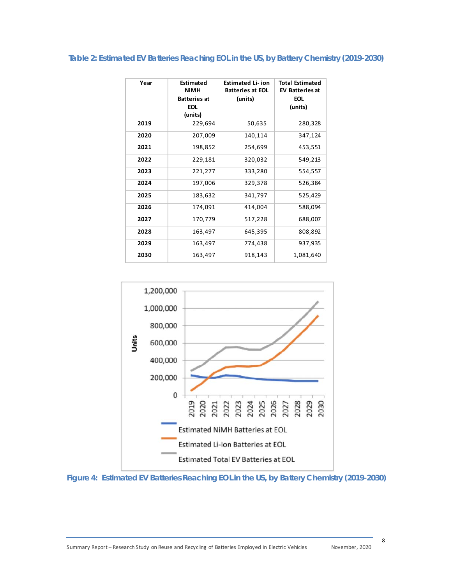#### **Table 2: Estimated EV Batteries Reaching EOL in the US, by Battery Chemistry (2019-2030)**

| Year | Estimated<br><b>NiMH</b><br><b>Batteries at</b><br><b>EOL</b><br>(units) | <b>Estimated Li-ion</b><br><b>Batteries at EOL</b><br>(units) | <b>Total Estimated</b><br><b>EV Batteries at</b><br><b>EOL</b><br>(units) |
|------|--------------------------------------------------------------------------|---------------------------------------------------------------|---------------------------------------------------------------------------|
| 2019 | 229,694                                                                  | 50,635                                                        | 280,328                                                                   |
| 2020 | 207,009                                                                  | 140,114                                                       | 347,124                                                                   |
| 2021 | 198,852                                                                  | 254,699                                                       | 453,551                                                                   |
| 2022 | 229,181                                                                  | 320,032                                                       | 549,213                                                                   |
| 2023 | 221,277                                                                  | 333,280                                                       | 554,557                                                                   |
| 2024 | 197,006                                                                  | 329,378                                                       | 526,384                                                                   |
| 2025 | 183,632                                                                  | 341,797                                                       | 525,429                                                                   |
| 2026 | 174,091                                                                  | 414,004                                                       | 588,094                                                                   |
| 2027 | 170,779                                                                  | 517,228                                                       | 688,007                                                                   |
| 2028 | 163,497                                                                  | 645,395                                                       | 808,892                                                                   |
| 2029 | 163,497                                                                  | 774,438                                                       | 937,935                                                                   |
| 2030 | 163,497                                                                  | 918,143                                                       | 1,081,640                                                                 |



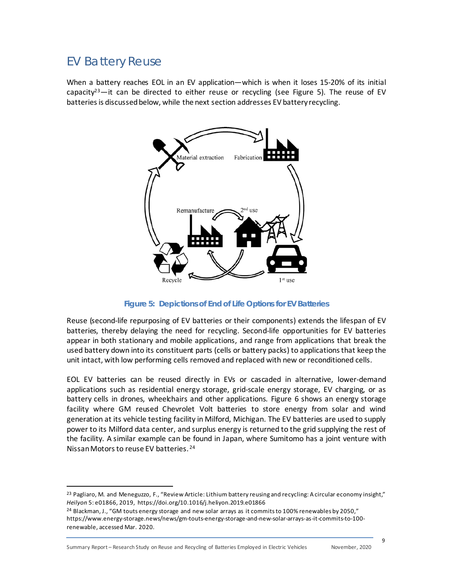#### EV Battery Reuse

When a battery reaches EOL in an EV application—which is when it loses 15-20% of its initial capacity<sup>23</sup>—it can be directed to either reuse or recycling (see Figure 5). The reuse of EV batteries is discussed below, while the next section addresses EV battery recycling.



**Figure 5: Depictions of End of Life Options for EV Batteries**

Reuse (second-life repurposing of EV batteries or their components) extends the lifespan of EV batteries, thereby delaying the need for recycling. Second-life opportunities for EV batteries appear in both stationary and mobile applications, and range from applications that break the used battery down into its constituent parts (cells or battery packs) to applications that keep the unit intact, with low performing cells removed and replaced with new or reconditioned cells.

EOL EV batteries can be reused directly in EVs or cascaded in alternative, lower-demand applications such as residential energy storage, grid-scale energy storage, EV charging, or as battery cells in drones, wheelchairs and other applications. Figure 6 shows an energy storage facility where GM reused Chevrolet Volt batteries to store energy from solar and wind generation at its vehicle testing facility in Milford, Michigan. The EV batteries are used to supply power to its Milford data center, and surplus energy is returned to the grid supplying the rest of the facility. A similar example can be found in Japan, where Sumitomo has a joint venture with Nissan Motors to reuse EV batteries. [24](#page-10-1)

<span id="page-10-1"></span><sup>24</sup> Blackman, J., "GM touts energy storage and new solar arrays as it commits to 100% renewables by 2050," https://www.energy-storage.news/news/gm-touts-energy-storage-and-new-solar-arrays-as-it-commits-to-100 renewable, accessed Mar. 2020.

Summary Report – Research Study on Reuse and Recycling of Batteries Employed in Electric Vehicles November, 2020

<span id="page-10-0"></span><sup>&</sup>lt;sup>23</sup> Pagliaro, M. and Meneguzzo, F., "Review Article: Lithium battery reusing and recycling: A circular economy insight," *Heilyon* 5: e01866, 2019, https://doi.org/10.1016/j.heliyon.2019.e01866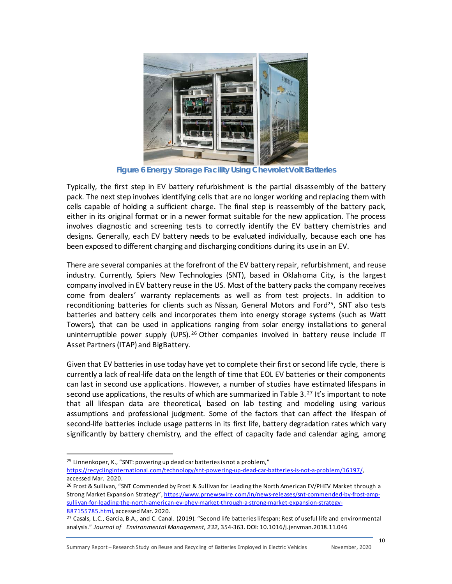

**Figure 6 Energy Storage Facility Using Chevrolet Volt Batteries**

Typically, the first step in EV battery refurbishment is the partial disassembly of the battery pack. The next step involves identifying cells that are no longer working and replacing them with cells capable of holding a sufficient charge. The final step is reassembly of the battery pack, either in its original format or in a newer format suitable for the new application. The process involves diagnostic and screening tests to correctly identify the EV battery chemistries and designs. Generally, each EV battery needs to be evaluated individually, because each one has been exposed to different charging and discharging conditions during its use in an EV.

There are several companies at the forefront of the EV battery repair, refurbishment, and reuse industry. Currently, Spiers New Technologies (SNT), based in Oklahoma City, is the largest company involved in EV battery reuse in the US. Most of the battery packs the company receives come from dealers' warranty replacements as well as from test projects. In addition to reconditioning batteries for clients such as Nissan, General Motors and Ford<sup>25</sup>. SNT also tests batteries and battery cells and incorporates them into energy storage systems (such as Watt Towers), that can be used in applications ranging from solar energy installations to general uninterruptible power supply (UPS).<sup>[26](#page-11-1)</sup> Other companies involved in battery reuse include IT Asset Partners (ITAP) and BigBattery.

Given that EV batteries in use today have yet to complete their first or second life cycle, there is currently a lack of real-life data on the length of time that EOL EV batteries or their components can last in second use applications. However, a number of studies have estimated lifespans in second use applications, the results of which are summarized in Table 3. $^{27}$  $^{27}$  $^{27}$  It's important to note that all lifespan data are theoretical, based on lab testing and modeling using various assumptions and professional judgment. Some of the factors that can affect the lifespan of second-life batteries include usage patterns in its first life, battery degradation rates which vary significantly by battery chemistry, and the effect of capacity fade and calendar aging, among

<span id="page-11-0"></span><sup>25</sup> Linnenkoper, K., "SNT: powering up dead car batteries is not a problem,"

- [https://recyclinginternational.com/technology/snt-powering-up-dead-car-batteries-is-not-a-problem/16197/,](https://recyclinginternational.com/technology/snt-powering-up-dead-car-batteries-is-not-a-problem/16197/) accessed Mar. 2020.
- <span id="page-11-1"></span><sup>26</sup> Frost & Sullivan, "SNT Commended by Frost & Sullivan for Leading the North American EV/PHEV Market through a Strong Market Expansion Strategy"[, https://www.prnewswire.com/in/news-releases/snt-commended-by-frost-amp](https://www.prnewswire.com/in/news-releases/snt-commended-by-frost-amp-sullivan-for-leading-the-north-american-ev-phev-market-through-a-strong-market-expansion-strategy-887155785.html)[sullivan-for-leading-the-north-american-ev-phev-market-through-a-strong-market-expansion-strategy-](https://www.prnewswire.com/in/news-releases/snt-commended-by-frost-amp-sullivan-for-leading-the-north-american-ev-phev-market-through-a-strong-market-expansion-strategy-887155785.html)[887155785.html,](https://www.prnewswire.com/in/news-releases/snt-commended-by-frost-amp-sullivan-for-leading-the-north-american-ev-phev-market-through-a-strong-market-expansion-strategy-887155785.html) accessed Mar. 2020.

<span id="page-11-2"></span><sup>&</sup>lt;sup>27</sup> Casals, L.C., Garcia, B.A., and C. Canal. (2019). "Second life batteries lifespan: Rest of useful life and environmental analysis." *Journal of Environmental Management, 232,* 354-363. DOI: 10.1016/j.jenvman.2018.11.046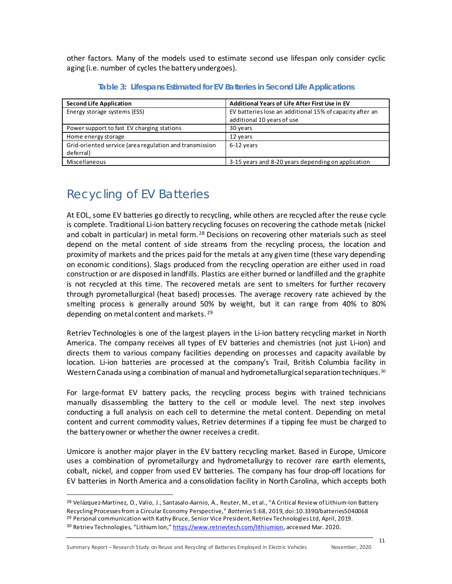other factors. Many of the models used to estimate second use lifespan only consider cyclic aging (i.e. number of cycles the battery undergoes).

| <b>Second Life Application</b>                                       | Additional Years of Life After First Use in EV           |  |  |
|----------------------------------------------------------------------|----------------------------------------------------------|--|--|
| Energy storage systems (ESS)                                         | EV batteries lose an additional 15% of capacity after an |  |  |
|                                                                      | additional 10 years of use                               |  |  |
| Power support to fast EV charging stations                           | 30 years                                                 |  |  |
| Home energy storage                                                  | 12 years                                                 |  |  |
| Grid-oriented service (area regulation and transmission<br>deferral) | 6-12 years                                               |  |  |
| Miscellaneous                                                        | 3-15 years and 8-20 years depending on application       |  |  |

**Table 3: Lifespans Estimated for EV Batteries in Second Life Applications**

### Recycling of EV Batteries

At EOL, some EV batteries go directly to recycling, while others are recycled after the reuse cycle is complete. Traditional Li-ion battery recycling focuses on recovering the cathode metals (nickel and cobalt in particular) in metal form.<sup>[28](#page-12-0)</sup> Decisions on recovering other materials such as steel depend on the metal content of side streams from the recycling process, the location and proximity of markets and the prices paid for the metals at any given time (these vary depending on economic conditions). Slags produced from the recycling operation are either used in road construction or are disposed in landfills. Plastics are either burned or landfilled and the graphite is not recycled at this time. The recovered metals are sent to smelters for further recovery through pyrometallurgical (heat based) processes. The average recovery rate achieved by the smelting process is generally around 50% by weight, but it can range from 40% to 80% depending on metal content and markets. [29](#page-12-1)

Retriev Technologies is one of the largest players in the Li-ion battery recycling market in North America. The company receives all types of EV batteries and chemistries (not just Li-ion) and directs them to various company facilities depending on processes and capacity available by location. Li-ion batteries are processed at the company's Trail, British Columbia facility in Western Canada using a combination of manual and hydrometallurgical separation techniques.<sup>[30](#page-12-2)</sup>

For large-format EV battery packs, the recycling process begins with trained technicians manually disassembling the battery to the cell or module level. The next step involves conducting a full analysis on each cell to determine the metal content. Depending on metal content and current commodity values, Retriev determines if a tipping fee must be charged to the battery owner or whether the owner receives a credit.

Umicore is another major player in the EV battery recycling market. Based in Europe, Umicore uses a combination of pyrometallurgy and hydrometallurgy to recover rare earth elements, cobalt, nickel, and copper from used EV batteries. The company has four drop-off locations for EV batteries in North America and a consolidation facility in North Carolina, which accepts both

<span id="page-12-2"></span><span id="page-12-1"></span><span id="page-12-0"></span><sup>&</sup>lt;sup>28</sup> Velázquez-Martínez, O., Valio, J., Santasalo-Aarnio, A., Reuter, M., et al., "A Critical Review of Lithium-Ion Battery Recycling Processes from a Circular Economy Perspective," *Batteries* 5:68, 2019, doi:10.3390/batteries5040068 <sup>29</sup> Personal communication with Kathy Bruce, Senior Vice President, Retriev Technologies Ltd, April, 2019. <sup>30</sup> Retriev Technologies, "Lithium Ion," <https://www.retrievtech.com/lithiumion>, accessed Mar. 2020.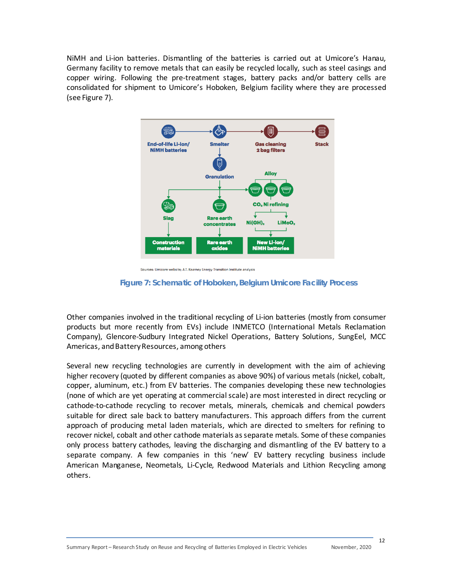NiMH and Li-ion batteries. Dismantling of the batteries is carried out at Umicore's Hanau, Germany facility to remove metals that can easily be recycled locally, such as steel casings and copper wiring. Following the pre-treatment stages, battery packs and/or battery cells are consolidated for shipment to Umicore's Hoboken, Belgium facility where they are processed (see Figure 7).



Sources: Umicore website; A.T. Kearney Energy Transition Institute analysis

#### **Figure 7: Schematic of Hoboken, Belgium Umicore Facility Process**

Other companies involved in the traditional recycling of Li-ion batteries (mostly from consumer products but more recently from EVs) include INMETCO (International Metals Reclamation Company), Glencore-Sudbury Integrated Nickel Operations, Battery Solutions, SungEel, MCC Americas, and Battery Resources, among others

Several new recycling technologies are currently in development with the aim of achieving higher recovery (quoted by different companies as above 90%) of various metals (nickel, cobalt, copper, aluminum, etc.) from EV batteries. The companies developing these new technologies (none of which are yet operating at commercial scale) are most interested in direct recycling or cathode-to-cathode recycling to recover metals, minerals, chemicals and chemical powders suitable for direct sale back to battery manufacturers. This approach differs from the current approach of producing metal laden materials, which are directed to smelters for refining to recover nickel, cobalt and other cathode materials as separate metals. Some of these companies only process battery cathodes, leaving the discharging and dismantling of the EV battery to a separate company. A few companies in this 'new' EV battery recycling business include American Manganese, Neometals, Li-Cycle, Redwood Materials and Lithion Recycling among others.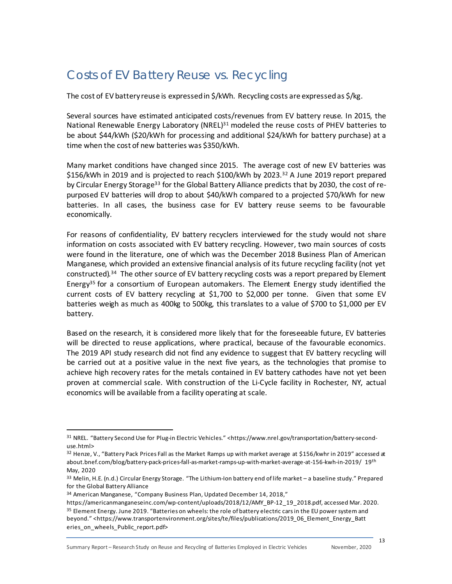### Costs of EV Battery Reuse vs. Recycling

The cost of EV battery reuse is expressed in \$/kWh. Recycling costs are expressed as \$/kg.

Several sources have estimated anticipated costs/revenues from EV battery reuse. In 2015, the National Renewable Energy Laboratory (NREL) $31$  modeled the reuse costs of PHEV batteries to be about \$44/kWh (\$20/kWh for processing and additional \$24/kWh for battery purchase) at a time when the cost of new batteries was \$350/kWh.

Many market conditions have changed since 2015. The average cost of new EV batteries was \$156/kWh in 2019 and is projected to reach \$100/kWh by 2023. [32](#page-14-1) A June 2019 report prepared by Circular Energy Storage<sup>[33](#page-14-2)</sup> for the Global Battery Alliance predicts that by 2030, the cost of repurposed EV batteries will drop to about \$40/kWh compared to a projected \$70/kWh for new batteries. In all cases, the business case for EV battery reuse seems to be favourable economically.

For reasons of confidentiality, EV battery recyclers interviewed for the study would not share information on costs associated with EV battery recycling. However, two main sources of costs were found in the literature, one of which was the December 2018 Business Plan of American Manganese, which provided an extensive financial analysis of its future recycling facility (not yet constructed).<sup>34</sup> The other source of EV battery recycling costs was a report prepared by Element Energy<sup>[35](#page-14-4)</sup> for a consortium of European automakers. The Element Energy study identified the current costs of EV battery recycling at \$1,700 to \$2,000 per tonne. Given that some EV batteries weigh as much as 400kg to 500kg, this translates to a value of \$700 to \$1,000 per EV battery.

Based on the research, it is considered more likely that for the foreseeable future, EV batteries will be directed to reuse applications, where practical, because of the favourable economics. The 2019 API study research did not find any evidence to suggest that EV battery recycling will be carried out at a positive value in the next five years, as the technologies that promise to achieve high recovery rates for the metals contained in EV battery cathodes have not yet been proven at commercial scale. With construction of the Li-Cycle facility in Rochester, NY, actual economics will be available from a facility operating at scale.

Summary Report – Research Study on Reuse and Recycling of Batteries Employed in Electric Vehicles November, 2020

<span id="page-14-0"></span><sup>31</sup> NREL. "Battery Second Use for Plug-in Electric Vehicles." <https://www.nrel.gov/transportation/battery-seconduse.html>

<span id="page-14-1"></span><sup>32</sup> Henze, V., "Battery Pack Prices Fall as the Market Ramps up with market average at \$156/kwhr in 2019" accessed at about.bnef.com/blog/battery-pack-prices-fall-as-market-ramps-up-with-market-average-at-156-kwh-in-2019/ 19th May, 2020

<span id="page-14-2"></span><sup>33</sup> Melin, H.E. (n.d.) Circular Energy Storage. "The Lithium-Ion battery end of life market – a baseline study." Prepared for the Global Battery Alliance

<span id="page-14-3"></span><sup>34</sup> American Manganese, "Company Business Plan, Updated December 14, 2018,"

<span id="page-14-4"></span>[https://americanmanganeseinc.com/wp-content/uploads/2018/12/AMY\\_BP-12\\_19\\_2018.pdf](https://americanmanganeseinc.com/wp-content/uploads/2018/12/AMY_BP-12_19_2018.pdf), accessed Mar. 2020. <sup>35</sup> Element Energy. June 2019. "Batteries on wheels: the role of battery electric cars in the EU power system and beyond." <https:[//www.transportenvironment.org/sites/te/files/publications/2019\\_06\\_Element\\_Energy\\_Batt](http://www.transportenvironment.org/sites/te/files/publications/2019_06_Element_Energy_Batt) eries\_on\_wheels\_Public\_report.pdf>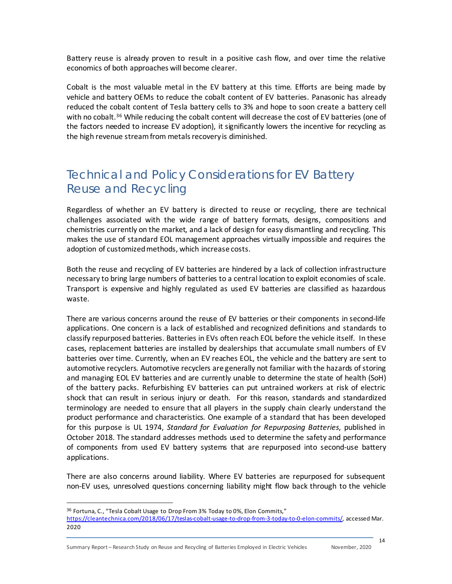Battery reuse is already proven to result in a positive cash flow, and over time the relative economics of both approaches will become clearer.

Cobalt is the most valuable metal in the EV battery at this time. Efforts are being made by vehicle and battery OEMs to reduce the cobalt content of EV batteries. Panasonic has already reduced the cobalt content of Tesla battery cells to 3% and hope to soon create a battery cell with no cobalt.<sup>[36](#page-15-0)</sup> While reducing the cobalt content will decrease the cost of EV batteries (one of the factors needed to increase EV adoption), it significantly lowers the incentive for recycling as the high revenue stream from metals recovery is diminished.

### Technical and Policy Considerations for EV Battery Reuse and Recycling

Regardless of whether an EV battery is directed to reuse or recycling, there are technical challenges associated with the wide range of battery formats, designs, compositions and chemistries currently on the market, and a lack of design for easy dismantling and recycling. This makes the use of standard EOL management approaches virtually impossible and requires the adoption of customized methods, which increase costs.

Both the reuse and recycling of EV batteries are hindered by a lack of collection infrastructure necessary to bring large numbers of batteries to a central location to exploit economies of scale. Transport is expensive and highly regulated as used EV batteries are classified as hazardous waste.

There are various concerns around the reuse of EV batteries or their components in second-life applications. One concern is a lack of established and recognized definitions and standards to classify repurposed batteries. Batteries in EVs often reach EOL before the vehicle itself. In these cases, replacement batteries are installed by dealerships that accumulate small numbers of EV batteries over time. Currently, when an EV reaches EOL, the vehicle and the battery are sent to automotive recyclers. Automotive recyclers are generally not familiar with the hazards of storing and managing EOL EV batteries and are currently unable to determine the state of health (SoH) of the battery packs. Refurbishing EV batteries can put untrained workers at risk of electric shock that can result in serious injury or death. For this reason, standards and standardized terminology are needed to ensure that all players in the supply chain clearly understand the product performance and characteristics. One example of a standard that has been developed for this purpose is UL 1974, *Standard for Evaluation for Repurposing Batteries*, published in October 2018. The standard addresses methods used to determine the safety and performance of components from used EV battery systems that are repurposed into second-use battery applications.

There are also concerns around liability. Where EV batteries are repurposed for subsequent non-EV uses, unresolved questions concerning liability might flow back through to the vehicle

<span id="page-15-0"></span><sup>36</sup> Fortuna, C., "Tesla Cobalt Usage to Drop From 3% Today to 0%, Elon Commits," [https://cleantechnica.com/2018/06/17/teslas-cobalt-usage-to-drop-from-3-today-to-0-elon-commits/,](https://cleantechnica.com/2018/06/17/teslas-cobalt-usage-to-drop-from-3-today-to-0-elon-commits/) accessed Mar. 2020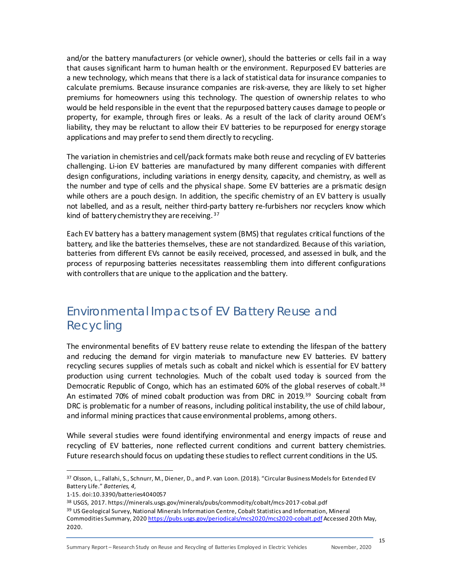and/or the battery manufacturers (or vehicle owner), should the batteries or cells fail in a way that causes significant harm to human health or the environment. Repurposed EV batteries are a new technology, which means that there is a lack of statistical data for insurance companies to calculate premiums. Because insurance companies are risk-averse, they are likely to set higher premiums for homeowners using this technology. The question of ownership relates to who would be held responsible in the event that the repurposed battery causes damage to people or property, for example, through fires or leaks. As a result of the lack of clarity around OEM's liability, they may be reluctant to allow their EV batteries to be repurposed for energy storage applications and may prefer to send them directly to recycling.

The variation in chemistries and cell/pack formats make both reuse and recycling of EV batteries challenging. Li-ion EV batteries are manufactured by many different companies with different design configurations, including variations in energy density, capacity, and chemistry, as well as the number and type of cells and the physical shape. Some EV batteries are a prismatic design while others are a pouch design. In addition, the specific chemistry of an EV battery is usually not labelled, and as a result, neither third-party battery re-furbishers nor recyclers know which kind of battery chemistry they are receiving. [37](#page-16-0)

Each EV battery has a battery management system (BMS) that regulates critical functions of the battery, and like the batteries themselves, these are not standardized. Because of this variation, batteries from different EVs cannot be easily received, processed, and assessed in bulk, and the process of repurposing batteries necessitates reassembling them into different configurations with controllers that are unique to the application and the battery.

#### Environmental Impacts of EV Battery Reuse and Recycling

The environmental benefits of EV battery reuse relate to extending the lifespan of the battery and reducing the demand for virgin materials to manufacture new EV batteries. EV battery recycling secures supplies of metals such as cobalt and nickel which is essential for EV battery production using current technologies. Much of the cobalt used today is sourced from the Democratic Republic of Congo, which has an estimated 60% of the global reserves of cobalt.<sup>[38](#page-16-1)</sup> An estimated 70% of mined cobalt production was from DRC in 2019.[39](#page-16-2) Sourcing cobalt from DRC is problematic for a number of reasons, including political instability, the use of child labour, and informal mining practices that cause environmental problems, among others.

While several studies were found identifying environmental and energy impacts of reuse and recycling of EV batteries, none reflected current conditions and current battery chemistries. Future research should focus on updating these studies to reflect current conditions in the US.

<span id="page-16-0"></span><sup>37</sup> Olsson, L., Fallahi, S., Schnurr, M., Diener, D., and P. van Loon. (2018). "Circular Business Models for Extended EV Battery Life." *Batteries, 4,*

<sup>1-15.</sup> doi:10.3390/batteries4040057

<span id="page-16-2"></span><span id="page-16-1"></span><sup>38</sup> USGS, 2017. https://minerals.usgs.gov/minerals/pubs/commodity/cobalt/mcs-2017-cobal.pdf <sup>39</sup> US Geological Survey, National Minerals Information Centre, Cobalt Statistics and Information, Mineral Commodities Summary, 202[0 https://pubs.usgs.gov/periodicals/mcs2020/mcs2020-cobalt.pdf](https://pubs.usgs.gov/periodicals/mcs2020/mcs2020-cobalt.pdf) Accessed 20th May, 2020.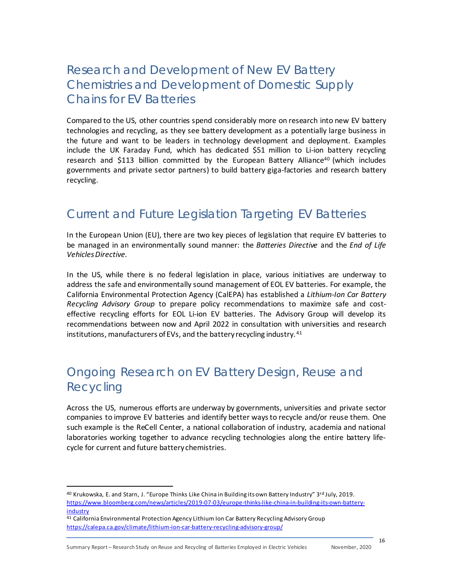#### Research and Development of New EV Battery Chemistries and Development of Domestic Supply Chains for EV Batteries

Compared to the US, other countries spend considerably more on research into new EV battery technologies and recycling, as they see battery development as a potentially large business in the future and want to be leaders in technology development and deployment. Examples include the UK Faraday Fund, which has dedicated \$51 million to Li-ion battery recycling research and \$113 billion committed by the European Battery Alliance<sup>40</sup> (which includes governments and private sector partners) to build battery giga-factories and research battery recycling.

#### Current and Future Legislation Targeting EV Batteries

In the European Union (EU), there are two key pieces of legislation that require EV batteries to be managed in an environmentally sound manner: the *Batteries Directive* and the *End of Life VehiclesDirective.*

In the US, while there is no federal legislation in place, various initiatives are underway to address the safe and environmentally sound management of EOL EV batteries. For example, the California Environmental Protection Agency (CalEPA) has established a *Lithium-Ion Car Battery Recycling Advisory Group* to prepare policy recommendations to maximize safe and costeffective recycling efforts for EOL Li-ion EV batteries. The Advisory Group will develop its recommendations between now and April 2022 in consultation with universities and research institutions, manufacturers of EVs, and the battery recycling industry. [41](#page-17-1)

### Ongoing Research on EV Battery Design, Reuse and Recycling

Across the US, numerous efforts are underway by governments, universities and private sector companies to improve EV batteries and identify better waysto recycle and/or reuse them. One such example is the ReCell Center, a national collaboration of industry, academia and national laboratories working together to advance recycling technologies along the entire battery lifecycle for current and future battery chemistries.

<span id="page-17-0"></span><sup>40</sup> Krukowska, E. and Starn, J. "Europe Thinks Like China in Building its own Battery Industry" 3rd July, 2019. [https://www.bloomberg.com/news/articles/2019-07-03/europe-thinks-like-china-in-building-its-own-battery](https://www.bloomberg.com/news/articles/2019-07-03/europe-thinks-like-china-in-building-its-own-battery-industry)**[industry](https://www.bloomberg.com/news/articles/2019-07-03/europe-thinks-like-china-in-building-its-own-battery-industry)** 

<span id="page-17-1"></span><sup>41</sup> California Environmental Protection Agency Lithium Ion Car Battery Recycling Advisory Group <https://calepa.ca.gov/climate/lithium-ion-car-battery-recycling-advisory-group/>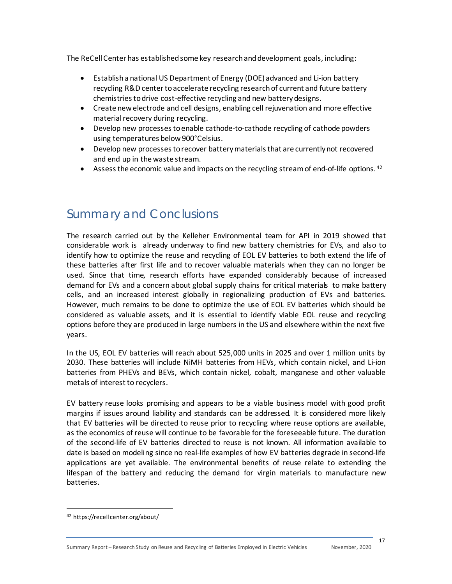The ReCell Center has established some key researchand development goals, including:

- Establish a national US Department of Energy (DOE) advanced and Li-ion battery recycling R&D center to accelerate recycling research of current and future battery chemistries to drive cost-effective recycling and new battery designs.
- Create new electrode and cell designs, enabling cell rejuvenation and more effective material recovery during recycling.
- Develop new processes to enable cathode-to-cathode recycling of cathode powders using temperatures below 900°Celsius.
- Develop new processes to recover battery materials that are currently not recovered and end up in the waste stream.
- **•** Assess the economic value and impacts on the recycling stream of end-of-life options.  $42$

#### Summary and Conclusions

The research carried out by the Kelleher Environmental team for API in 2019 showed that considerable work is already underway to find new battery chemistries for EVs, and also to identify how to optimize the reuse and recycling of EOL EV batteries to both extend the life of these batteries after first life and to recover valuable materials when they can no longer be used. Since that time, research efforts have expanded considerably because of increased demand for EVs and a concern about global supply chains for critical materials to make battery cells, and an increased interest globally in regionalizing production of EVs and batteries. However, much remains to be done to optimize the use of EOL EV batteries which should be considered as valuable assets, and it is essential to identify viable EOL reuse and recycling options before they are produced in large numbers in the US and elsewhere within the next five years.

In the US, EOL EV batteries will reach about 525,000 units in 2025 and over 1 million units by 2030. These batteries will include NiMH batteries from HEVs, which contain nickel, and Li-ion batteries from PHEVs and BEVs, which contain nickel, cobalt, manganese and other valuable metals of interest to recyclers.

EV battery reuse looks promising and appears to be a viable business model with good profit margins if issues around liability and standards can be addressed. It is considered more likely that EV batteries will be directed to reuse prior to recycling where reuse options are available, as the economics of reuse will continue to be favorable for the foreseeable future. The duration of the second-life of EV batteries directed to reuse is not known. All information available to date is based on modeling since no real-life examples of how EV batteries degrade in second-life applications are yet available. The environmental benefits of reuse relate to extending the lifespan of the battery and reducing the demand for virgin materials to manufacture new batteries.

<span id="page-18-0"></span><sup>42</sup> <https://recellcenter.org/about/>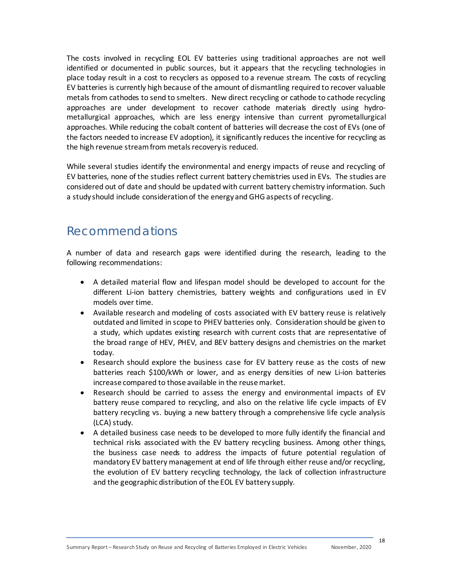The costs involved in recycling EOL EV batteries using traditional approaches are not well identified or documented in public sources, but it appears that the recycling technologies in place today result in a cost to recyclers as opposed to a revenue stream. The costs of recycling EV batteries is currently high because of the amount of dismantling required to recover valuable metals from cathodes to send to smelters. New direct recycling or cathode to cathode recycling approaches are under development to recover cathode materials directly using hydrometallurgical approaches, which are less energy intensive than current pyrometallurgical approaches. While reducing the cobalt content of batteries will decrease the cost of EVs (one of the factors needed to increase EV adoption), it significantly reduces the incentive for recycling as the high revenue stream from metals recovery is reduced.

While several studies identify the environmental and energy impacts of reuse and recycling of EV batteries, none of the studies reflect current battery chemistries used in EVs. The studies are considered out of date and should be updated with current battery chemistry information. Such a study should include consideration of the energy and GHG aspects of recycling.

#### Recommendations

A number of data and research gaps were identified during the research, leading to the following recommendations:

- A detailed material flow and lifespan model should be developed to account for the different Li-ion battery chemistries, battery weights and configurations used in EV models over time.
- Available research and modeling of costs associated with EV battery reuse is relatively outdated and limited in scope to PHEV batteries only. Consideration should be given to a study, which updates existing research with current costs that are representative of the broad range of HEV, PHEV, and BEV battery designs and chemistries on the market today.
- Research should explore the business case for EV battery reuse as the costs of new batteries reach \$100/kWh or lower, and as energy densities of new Li-ion batteries increase compared to those available in the reuse market.
- Research should be carried to assess the energy and environmental impacts of EV battery reuse compared to recycling, and also on the relative life cycle impacts of EV battery recycling vs. buying a new battery through a comprehensive life cycle analysis (LCA) study.
- A detailed business case needs to be developed to more fully identify the financial and technical risks associated with the EV battery recycling business. Among other things, the business case needs to address the impacts of future potential regulation of mandatory EV battery management at end of life through either reuse and/or recycling, the evolution of EV battery recycling technology, the lack of collection infrastructure and the geographic distribution of the EOL EV battery supply.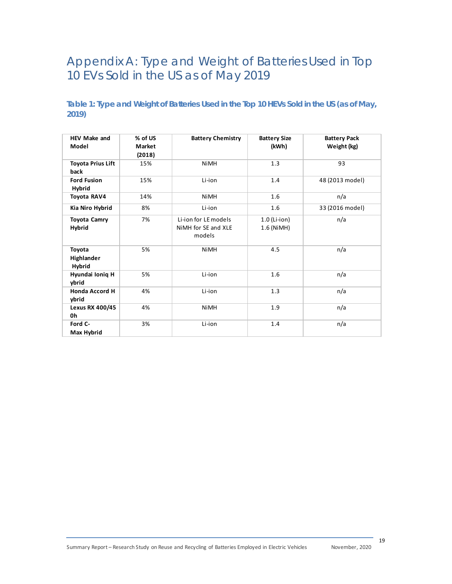### Appendix A: Type and Weight of Batteries Used in Top 10 EVs Sold in the US as of May 2019

#### **Table 1: Type and Weight of Batteries Used in the Top 10 HEVs Sold in the US (as of May, 2019)**

| <b>HEV Make and</b><br>Model     | % of US<br>Market<br>(2018) | <b>Battery Chemistry</b>                              | <b>Battery Size</b><br>(kWh) | <b>Battery Pack</b><br>Weight (kg) |
|----------------------------------|-----------------------------|-------------------------------------------------------|------------------------------|------------------------------------|
| <b>Toyota Prius Lift</b><br>back | 15%                         | <b>NiMH</b>                                           | 1.3                          | 93                                 |
| <b>Ford Fusion</b><br>Hybrid     | 15%                         | Li-ion                                                | 1.4                          | 48 (2013 model)                    |
| Toyota RAV4                      | 14%                         | <b>NiMH</b>                                           | 1.6                          | n/a                                |
| Kia Niro Hybrid                  | 8%                          | Li-ion                                                | 1.6                          | 33 (2016 model)                    |
| <b>Toyota Camry</b><br>Hybrid    | 7%                          | Li-ion for LE models<br>NiMH for SE and XLE<br>models | $1.0$ (Li-ion)<br>1.6 (NiMH) | n/a                                |
| Toyota<br>Highlander<br>Hybrid   | 5%                          | <b>NiMH</b>                                           | 4.5                          | n/a                                |
| Hyundai Ioniq H<br>ybrid         | 5%                          | Li-ion                                                | 1.6                          | n/a                                |
| <b>Honda Accord H</b><br>ybrid   | 4%                          | Li-ion                                                | 1.3                          | n/a                                |
| Lexus RX 400/45<br>0h            | 4%                          | <b>NiMH</b>                                           | 1.9                          | n/a                                |
| Ford C-<br>Max Hybrid            | 3%                          | Li-ion                                                | 1.4                          | n/a                                |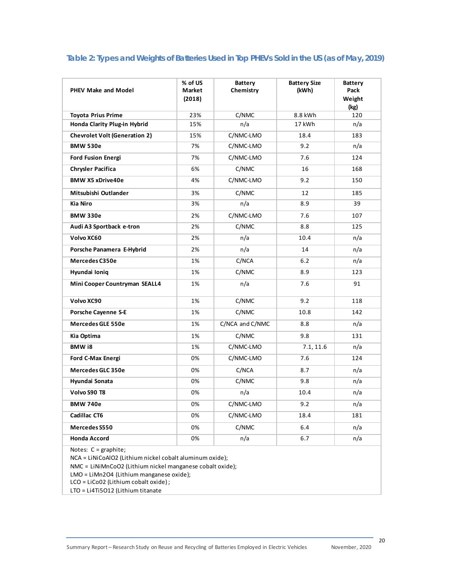#### **Table 2: Types and Weights of Batteries Used in Top PHEVs Sold in the US (as of May, 2019)**

| <b>PHEV Make and Model</b>           | % of US<br>Market<br>(2018) | <b>Battery</b><br>Chemistry | <b>Battery Size</b><br>(kWh) | <b>Battery</b><br>Pack<br>Weight<br>(kg) |
|--------------------------------------|-----------------------------|-----------------------------|------------------------------|------------------------------------------|
| <b>Toyota Prius Prime</b>            | 23%                         | C/NMC                       | 8.8 kWh                      | 120                                      |
| Honda Clarity Plug-in Hybrid         | 15%                         | n/a                         | 17 kWh                       | n/a                                      |
| <b>Chevrolet Volt (Generation 2)</b> | 15%                         | C/NMC-LMO                   | 18.4                         | 183                                      |
| <b>BMW 530e</b>                      | 7%                          | C/NMC-LMO                   | 9.2                          | n/a                                      |
| <b>Ford Fusion Energi</b>            | 7%                          | C/NMC-LMO                   | 7.6                          | 124                                      |
| <b>Chrysler Pacifica</b>             | 6%                          | C/NMC                       | 16                           | 168                                      |
| <b>BMW X5 xDrive40e</b>              | 4%                          | C/NMC-LMO                   | 9.2                          | 150                                      |
| Mitsubishi Outlander                 | 3%                          | C/NMC                       | 12                           | 185                                      |
| <b>Kia Niro</b>                      | 3%                          | n/a                         | 8.9                          | 39                                       |
| <b>BMW 330e</b>                      | 2%                          | C/NMC-LMO                   | 7.6                          | 107                                      |
| Audi A3 Sportback e-tron             | 2%                          | C/NMC                       | 8.8                          | 125                                      |
| Volvo XC60                           | 2%                          | n/a                         | 10.4                         | n/a                                      |
| Porsche Panamera E-Hybrid            | 2%                          | n/a                         | 14                           | n/a                                      |
| Mercedes C350e                       | 1%                          | C/NCA                       | 6.2                          | n/a                                      |
| Hyundai Ionig                        | 1%                          | C/NMC                       | 8.9                          | 123                                      |
| Mini Cooper Countryman SEALL4        | 1%                          | n/a                         | 7.6                          | 91                                       |
| Volvo XC90                           | 1%                          | C/NMC                       | 9.2                          | 118                                      |
| <b>Porsche Cayenne S-E</b>           | 1%                          | C/NMC                       | 10.8                         | 142                                      |
| <b>Mercedes GLE 550e</b>             | 1%                          | C/NCA and C/NMC             | 8.8                          | n/a                                      |
| Kia Optima                           | 1%                          | C/NMC                       | 9.8                          | 131                                      |
| BMW i8                               | 1%                          | C/NMC-LMO                   | 7.1, 11.6                    | n/a                                      |
| Ford C-Max Energi                    | 0%                          | C/NMC-LMO                   | 7.6                          | 124                                      |
| Mercedes GLC 350e                    | 0%                          | C/NCA                       | 8.7                          | n/a                                      |
| Hyundai Sonata                       | 0%                          | C/NMC                       | 9.8                          | n/a                                      |
| Volvo S90 T8                         | 0%                          | n/a                         | 10.4                         | n/a                                      |
| <b>BMW 740e</b>                      | 0%                          | C/NMC-LMO                   | 9.2                          | n/a                                      |
| Cadillac CT6                         | 0%                          | C/NMC-LMO                   | 18.4                         | 181                                      |
| Mercedes S550                        | 0%                          | C/NMC                       | 6.4                          | n/a                                      |
| <b>Honda Accord</b>                  | 0%                          | n/a                         | 6.7                          | n/a                                      |
| Notes: $C = graphite;$               |                             |                             |                              |                                          |

NCA = LiNiCoAlO2 (Lithium nickel cobalt aluminum oxide);

NMC = LiNiMnCoO2 (Lithium nickel manganese cobalt oxide);

LMO = LiMn2O4 (Lithium manganese oxide);

LCO = LiCo02 (Lithium cobalt oxide) ;

LTO = Li4Ti5O12 (Lithium titanate